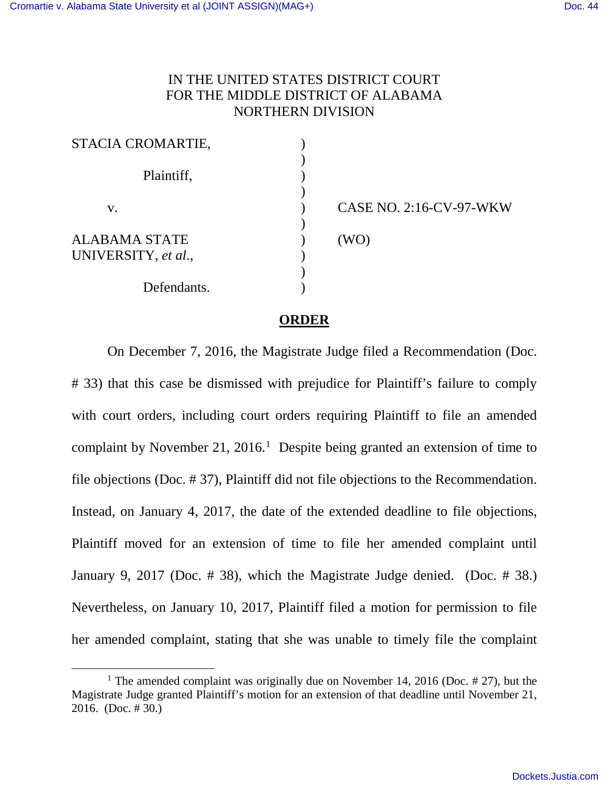$\overline{a}$ 

## IN THE UNITED STATES DISTRICT COURT FOR THE MIDDLE DISTRICT OF ALABAMA NORTHERN DIVISION

| STACIA CROMARTIE,                           |                         |
|---------------------------------------------|-------------------------|
| Plaintiff,                                  |                         |
| V.                                          | CASE NO. 2:16-CV-97-WKW |
| <b>ALABAMA STATE</b><br>UNIVERSITY, et al., | (WO)                    |
| Defendants.                                 |                         |

## **ORDER**

On December 7, 2016, the Magistrate Judge filed a Recommendation (Doc. # 33) that this case be dismissed with prejudice for Plaintiff's failure to comply with court orders, including court orders requiring Plaintiff to file an amended complaint by November 21, 2016. [1](#page-0-0) Despite being granted an extension of time to file objections (Doc. # 37), Plaintiff did not file objections to the Recommendation. Instead, on January 4, 2017, the date of the extended deadline to file objections, Plaintiff moved for an extension of time to file her amended complaint until January 9, 2017 (Doc. # 38), which the Magistrate Judge denied. (Doc. # 38.) Nevertheless, on January 10, 2017, Plaintiff filed a motion for permission to file her amended complaint, stating that she was unable to timely file the complaint

<span id="page-0-0"></span><sup>&</sup>lt;sup>1</sup> The amended complaint was originally due on November 14, 2016 (Doc.  $\#$  27), but the Magistrate Judge granted Plaintiff's motion for an extension of that deadline until November 21, 2016. (Doc. # 30.)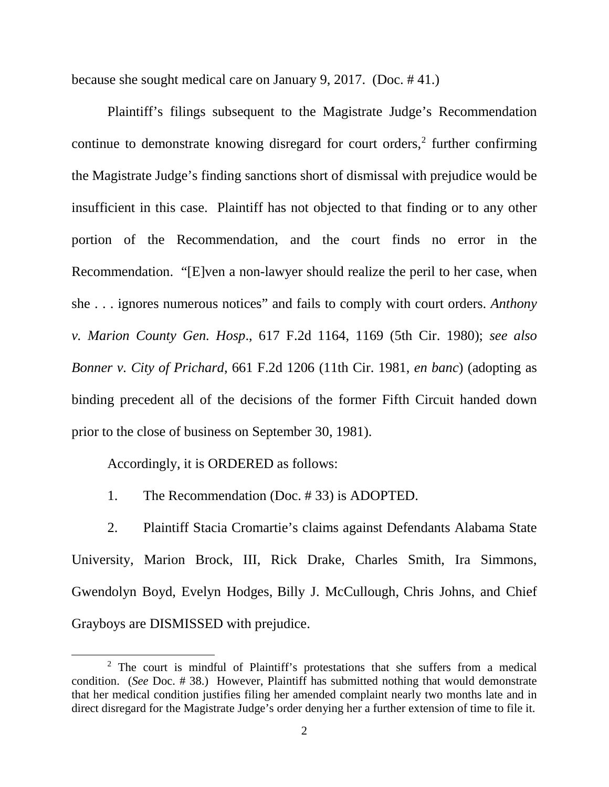because she sought medical care on January 9, 2017. (Doc. # 41.)

Plaintiff's filings subsequent to the Magistrate Judge's Recommendation continue to demonstrate knowing disregard for court orders, $2$  further confirming the Magistrate Judge's finding sanctions short of dismissal with prejudice would be insufficient in this case. Plaintiff has not objected to that finding or to any other portion of the Recommendation, and the court finds no error in the Recommendation. "[E]ven a non-lawyer should realize the peril to her case, when she . . . ignores numerous notices" and fails to comply with court orders. *Anthony v. Marion County Gen. Hosp*., 617 F.2d 1164, 1169 (5th Cir. 1980); *see also Bonner v. City of Prichard*, 661 F.2d 1206 (11th Cir. 1981, *en banc*) (adopting as binding precedent all of the decisions of the former Fifth Circuit handed down prior to the close of business on September 30, 1981).

Accordingly, it is ORDERED as follows:

l

1. The Recommendation (Doc. # 33) is ADOPTED.

 2. Plaintiff Stacia Cromartie's claims against Defendants Alabama State University, Marion Brock, III, Rick Drake, Charles Smith, Ira Simmons, Gwendolyn Boyd, Evelyn Hodges, Billy J. McCullough, Chris Johns, and Chief Grayboys are DISMISSED with prejudice.

<span id="page-1-0"></span><sup>2</sup> The court is mindful of Plaintiff's protestations that she suffers from a medical condition. (*See* Doc. # 38.) However, Plaintiff has submitted nothing that would demonstrate that her medical condition justifies filing her amended complaint nearly two months late and in direct disregard for the Magistrate Judge's order denying her a further extension of time to file it.